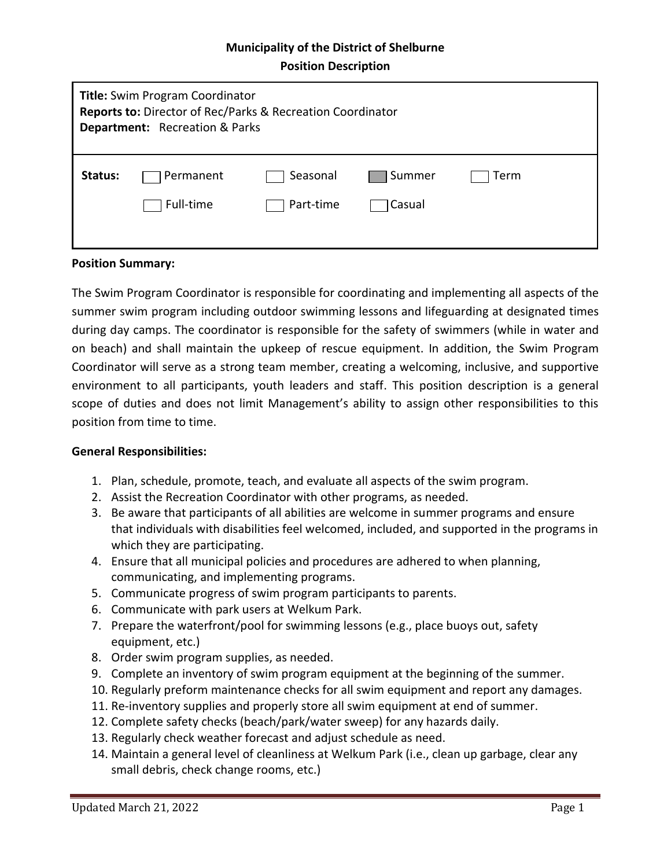# **Municipality of the District of Shelburne Position Description**

| <b>Title:</b> Swim Program Coordinator<br>Reports to: Director of Rec/Parks & Recreation Coordinator<br><b>Department:</b> Recreation & Parks |           |           |        |      |  |
|-----------------------------------------------------------------------------------------------------------------------------------------------|-----------|-----------|--------|------|--|
| Status:                                                                                                                                       | Permanent | Seasonal  | Summer | Term |  |
|                                                                                                                                               | Full-time | Part-time | Casual |      |  |

#### **Position Summary:**

The Swim Program Coordinator is responsible for coordinating and implementing all aspects of the summer swim program including outdoor swimming lessons and lifeguarding at designated times during day camps. The coordinator is responsible for the safety of swimmers (while in water and on beach) and shall maintain the upkeep of rescue equipment. In addition, the Swim Program Coordinator will serve as a strong team member, creating a welcoming, inclusive, and supportive environment to all participants, youth leaders and staff. This position description is a general scope of duties and does not limit Management's ability to assign other responsibilities to this position from time to time.

#### **General Responsibilities:**

- 1. Plan, schedule, promote, teach, and evaluate all aspects of the swim program.
- 2. Assist the Recreation Coordinator with other programs, as needed.
- 3. Be aware that participants of all abilities are welcome in summer programs and ensure that individuals with disabilities feel welcomed, included, and supported in the programs in which they are participating.
- 4. Ensure that all municipal policies and procedures are adhered to when planning, communicating, and implementing programs.
- 5. Communicate progress of swim program participants to parents.
- 6. Communicate with park users at Welkum Park.
- 7. Prepare the waterfront/pool for swimming lessons (e.g., place buoys out, safety equipment, etc.)
- 8. Order swim program supplies, as needed.
- 9. Complete an inventory of swim program equipment at the beginning of the summer.
- 10. Regularly preform maintenance checks for all swim equipment and report any damages.
- 11. Re-inventory supplies and properly store all swim equipment at end of summer.
- 12. Complete safety checks (beach/park/water sweep) for any hazards daily.
- 13. Regularly check weather forecast and adjust schedule as need.
- 14. Maintain a general level of cleanliness at Welkum Park (i.e., clean up garbage, clear any small debris, check change rooms, etc.)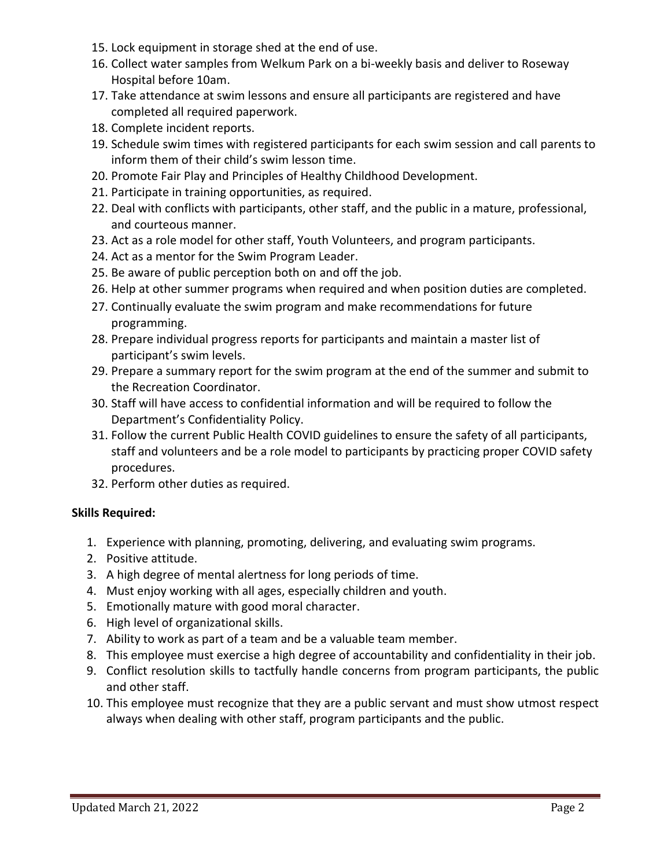- 15. Lock equipment in storage shed at the end of use.
- 16. Collect water samples from Welkum Park on a bi-weekly basis and deliver to Roseway Hospital before 10am.
- 17. Take attendance at swim lessons and ensure all participants are registered and have completed all required paperwork.
- 18. Complete incident reports.
- 19. Schedule swim times with registered participants for each swim session and call parents to inform them of their child's swim lesson time.
- 20. Promote Fair Play and Principles of Healthy Childhood Development.
- 21. Participate in training opportunities, as required.
- 22. Deal with conflicts with participants, other staff, and the public in a mature, professional, and courteous manner.
- 23. Act as a role model for other staff, Youth Volunteers, and program participants.
- 24. Act as a mentor for the Swim Program Leader.
- 25. Be aware of public perception both on and off the job.
- 26. Help at other summer programs when required and when position duties are completed.
- 27. Continually evaluate the swim program and make recommendations for future programming.
- 28. Prepare individual progress reports for participants and maintain a master list of participant's swim levels.
- 29. Prepare a summary report for the swim program at the end of the summer and submit to the Recreation Coordinator.
- 30. Staff will have access to confidential information and will be required to follow the Department's Confidentiality Policy.
- 31. Follow the current Public Health COVID guidelines to ensure the safety of all participants, staff and volunteers and be a role model to participants by practicing proper COVID safety procedures.
- 32. Perform other duties as required.

## **Skills Required:**

- 1. Experience with planning, promoting, delivering, and evaluating swim programs.
- 2. Positive attitude.
- 3. A high degree of mental alertness for long periods of time.
- 4. Must enjoy working with all ages, especially children and youth.
- 5. Emotionally mature with good moral character.
- 6. High level of organizational skills.
- 7. Ability to work as part of a team and be a valuable team member.
- 8. This employee must exercise a high degree of accountability and confidentiality in their job.
- 9. Conflict resolution skills to tactfully handle concerns from program participants, the public and other staff.
- 10. This employee must recognize that they are a public servant and must show utmost respect always when dealing with other staff, program participants and the public.